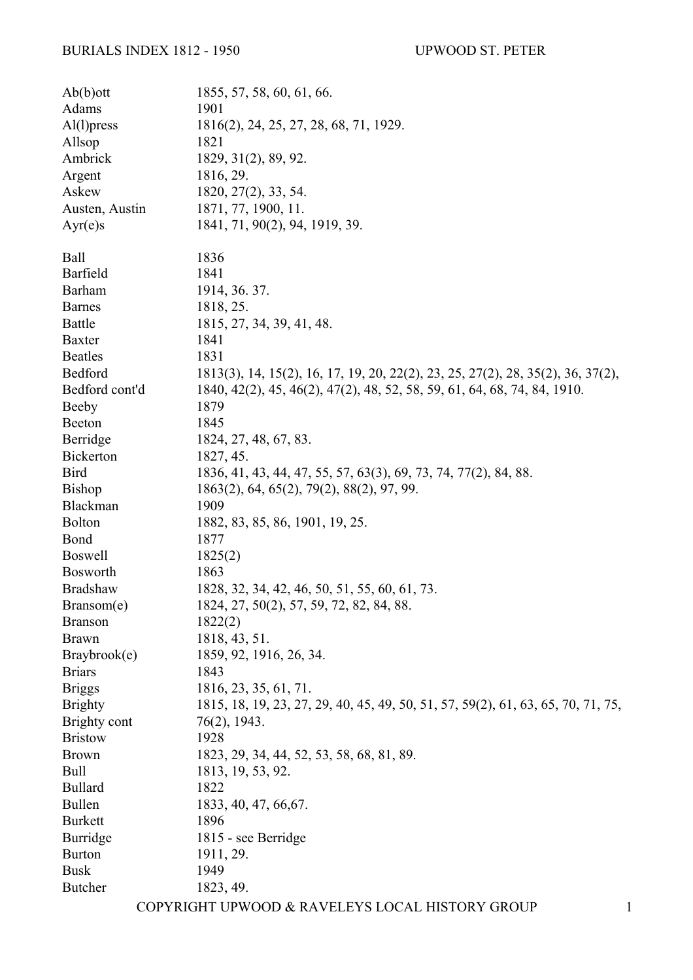## BURIALS INDEX 1812 - 1950 UPWOOD ST. PETER

| Ab(b)ott         | 1855, 57, 58, 60, 61, 66.                                                        |
|------------------|----------------------------------------------------------------------------------|
| Adams            | 1901                                                                             |
| $Al(1)$ press    | 1816(2), 24, 25, 27, 28, 68, 71, 1929.                                           |
| Allsop           | 1821                                                                             |
| Ambrick          | 1829, 31(2), 89, 92.                                                             |
| Argent           | 1816, 29.                                                                        |
| Askew            | 1820, 27(2), 33, 54.                                                             |
| Austen, Austin   | 1871, 77, 1900, 11.                                                              |
| Ayr(e)s          | 1841, 71, 90(2), 94, 1919, 39.                                                   |
| Ball             | 1836                                                                             |
| Barfield         | 1841                                                                             |
| <b>Barham</b>    | 1914, 36. 37.                                                                    |
| <b>Barnes</b>    | 1818, 25.                                                                        |
| <b>Battle</b>    | 1815, 27, 34, 39, 41, 48.                                                        |
| <b>Baxter</b>    | 1841                                                                             |
| <b>Beatles</b>   | 1831                                                                             |
| Bedford          | 1813(3), 14, 15(2), 16, 17, 19, 20, 22(2), 23, 25, 27(2), 28, 35(2), 36, 37(2),  |
| Bedford cont'd   | 1840, 42(2), 45, 46(2), 47(2), 48, 52, 58, 59, 61, 64, 68, 74, 84, 1910.         |
| Beeby            | 1879                                                                             |
| Beeton           | 1845                                                                             |
| Berridge         | 1824, 27, 48, 67, 83.                                                            |
| <b>Bickerton</b> | 1827, 45.                                                                        |
| <b>Bird</b>      | 1836, 41, 43, 44, 47, 55, 57, 63(3), 69, 73, 74, 77(2), 84, 88.                  |
| <b>Bishop</b>    | 1863(2), 64, 65(2), 79(2), 88(2), 97, 99.                                        |
| Blackman         | 1909                                                                             |
| <b>Bolton</b>    | 1882, 83, 85, 86, 1901, 19, 25.                                                  |
| <b>Bond</b>      | 1877                                                                             |
| <b>Boswell</b>   | 1825(2)                                                                          |
| Bosworth         | 1863                                                                             |
| <b>Bradshaw</b>  | 1828, 32, 34, 42, 46, 50, 51, 55, 60, 61, 73.                                    |
| Bransom(e)       | 1824, 27, 50(2), 57, 59, 72, 82, 84, 88.                                         |
| <b>Branson</b>   | 1822(2)                                                                          |
| <b>Brawn</b>     | 1818, 43, 51.                                                                    |
| Braybrook(e)     | 1859, 92, 1916, 26, 34.                                                          |
| <b>Briars</b>    | 1843                                                                             |
| <b>Briggs</b>    | 1816, 23, 35, 61, 71.                                                            |
| <b>Brighty</b>   | 1815, 18, 19, 23, 27, 29, 40, 45, 49, 50, 51, 57, 59(2), 61, 63, 65, 70, 71, 75, |
| Brighty cont     | 76(2), 1943.                                                                     |
| <b>Bristow</b>   | 1928                                                                             |
| <b>Brown</b>     | 1823, 29, 34, 44, 52, 53, 58, 68, 81, 89.                                        |
| Bull             | 1813, 19, 53, 92.                                                                |
| <b>Bullard</b>   | 1822                                                                             |
| Bullen           | 1833, 40, 47, 66, 67.                                                            |
| <b>Burkett</b>   | 1896                                                                             |
| <b>Burridge</b>  | 1815 - see Berridge                                                              |
| <b>Burton</b>    | 1911, 29.                                                                        |
| <b>Busk</b>      | 1949                                                                             |
| <b>Butcher</b>   | 1823, 49.                                                                        |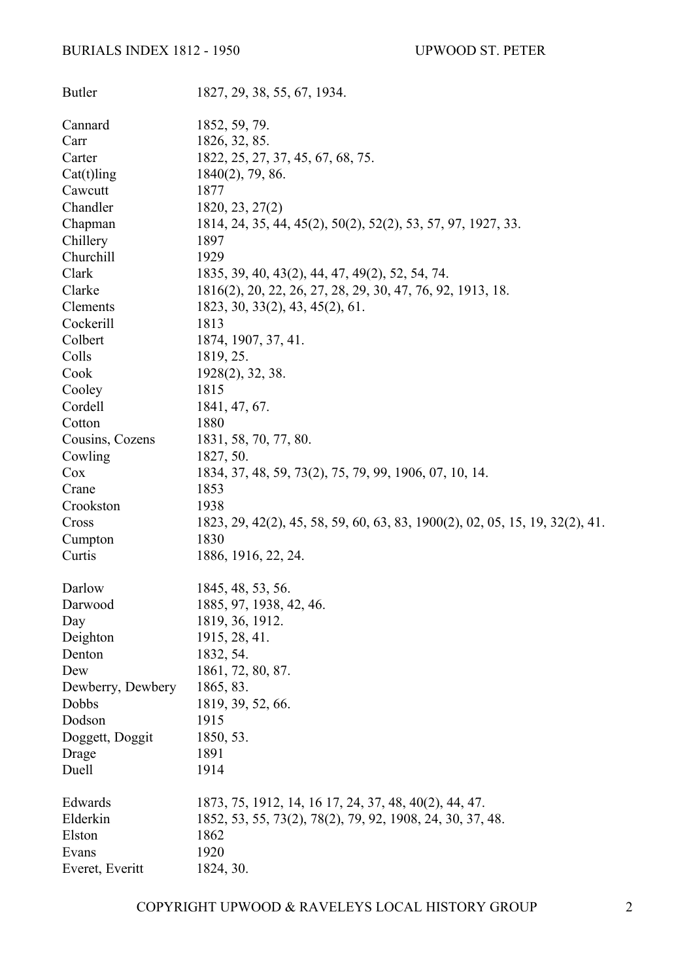## BURIALS INDEX 1812 - 1950 UPWOOD ST. PETER

| <b>Butler</b>     | 1827, 29, 38, 55, 67, 1934.                                                  |
|-------------------|------------------------------------------------------------------------------|
| Cannard           | 1852, 59, 79.                                                                |
| Carr              | 1826, 32, 85.                                                                |
| Carter            | 1822, 25, 27, 37, 45, 67, 68, 75.                                            |
| $Cat(t)$ ling     | $1840(2)$ , 79, 86.                                                          |
| Cawcutt           | 1877                                                                         |
| Chandler          | 1820, 23, 27(2)                                                              |
| Chapman           | 1814, 24, 35, 44, 45(2), 50(2), 52(2), 53, 57, 97, 1927, 33.                 |
| Chillery          | 1897                                                                         |
| Churchill         | 1929                                                                         |
| Clark             | 1835, 39, 40, 43(2), 44, 47, 49(2), 52, 54, 74.                              |
| Clarke            | 1816(2), 20, 22, 26, 27, 28, 29, 30, 47, 76, 92, 1913, 18.                   |
| Clements          | 1823, 30, 33(2), 43, 45(2), 61.                                              |
| Cockerill         | 1813                                                                         |
| Colbert           | 1874, 1907, 37, 41.                                                          |
| Colls             | 1819, 25.                                                                    |
| Cook              | $1928(2)$ , 32, 38.                                                          |
| Cooley            | 1815                                                                         |
| Cordell           | 1841, 47, 67.                                                                |
| Cotton            | 1880                                                                         |
| Cousins, Cozens   | 1831, 58, 70, 77, 80.                                                        |
| Cowling           | 1827, 50.                                                                    |
| Cox               | 1834, 37, 48, 59, 73(2), 75, 79, 99, 1906, 07, 10, 14.                       |
| Crane             | 1853                                                                         |
| Crookston         | 1938                                                                         |
| Cross             | 1823, 29, 42(2), 45, 58, 59, 60, 63, 83, 1900(2), 02, 05, 15, 19, 32(2), 41. |
| Cumpton           | 1830                                                                         |
| Curtis            | 1886, 1916, 22, 24.                                                          |
| Darlow            | 1845, 48, 53, 56.                                                            |
| Darwood           | 1885, 97, 1938, 42, 46.                                                      |
| Day               | 1819, 36, 1912.                                                              |
| Deighton          | 1915, 28, 41.                                                                |
| Denton            | 1832, 54.                                                                    |
| Dew               | 1861, 72, 80, 87.                                                            |
| Dewberry, Dewbery | 1865, 83.                                                                    |
| Dobbs             | 1819, 39, 52, 66.                                                            |
| Dodson            | 1915                                                                         |
| Doggett, Doggit   | 1850, 53.                                                                    |
| Drage             | 1891                                                                         |
| Duell             | 1914                                                                         |
| Edwards           | 1873, 75, 1912, 14, 16 17, 24, 37, 48, 40(2), 44, 47.                        |
| Elderkin          | 1852, 53, 55, 73(2), 78(2), 79, 92, 1908, 24, 30, 37, 48.                    |
| Elston            | 1862                                                                         |
| Evans             | 1920                                                                         |
| Everet, Everitt   | 1824, 30.                                                                    |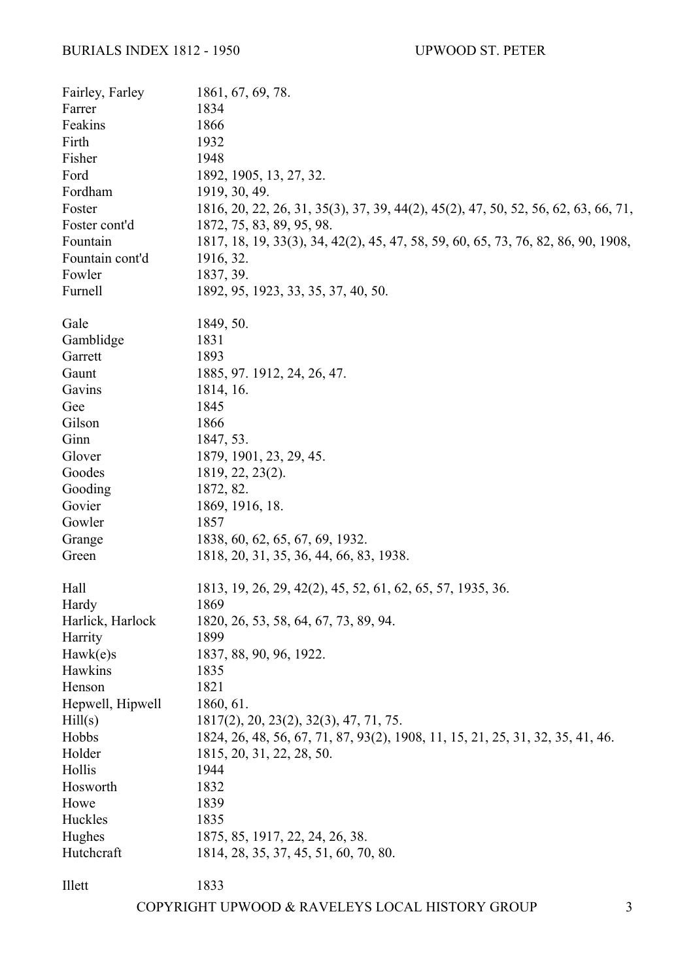| Fairley, Farley  | 1861, 67, 69, 78.                                                                  |
|------------------|------------------------------------------------------------------------------------|
| Farrer           | 1834                                                                               |
| Feakins          | 1866                                                                               |
| Firth            | 1932                                                                               |
| Fisher           | 1948                                                                               |
| Ford             | 1892, 1905, 13, 27, 32.                                                            |
| Fordham          | 1919, 30, 49.                                                                      |
| Foster           | 1816, 20, 22, 26, 31, 35(3), 37, 39, 44(2), 45(2), 47, 50, 52, 56, 62, 63, 66, 71, |
| Foster cont'd    | 1872, 75, 83, 89, 95, 98.                                                          |
| Fountain         | 1817, 18, 19, 33(3), 34, 42(2), 45, 47, 58, 59, 60, 65, 73, 76, 82, 86, 90, 1908,  |
| Fountain cont'd  | 1916, 32.                                                                          |
| Fowler           | 1837, 39.                                                                          |
| Furnell          | 1892, 95, 1923, 33, 35, 37, 40, 50.                                                |
| Gale             | 1849, 50.                                                                          |
| Gamblidge        | 1831                                                                               |
| Garrett          | 1893                                                                               |
| Gaunt            | 1885, 97. 1912, 24, 26, 47.                                                        |
| Gavins           | 1814, 16.                                                                          |
| Gee              | 1845                                                                               |
| Gilson           | 1866                                                                               |
| Ginn             | 1847, 53.                                                                          |
| Glover           | 1879, 1901, 23, 29, 45.                                                            |
| Goodes           | 1819, 22, 23(2).                                                                   |
| Gooding          | 1872, 82.                                                                          |
| Govier           | 1869, 1916, 18.                                                                    |
| Gowler           | 1857                                                                               |
| Grange           | 1838, 60, 62, 65, 67, 69, 1932.                                                    |
| Green            | 1818, 20, 31, 35, 36, 44, 66, 83, 1938.                                            |
|                  |                                                                                    |
| Hall             | 1813, 19, 26, 29, 42(2), 45, 52, 61, 62, 65, 57, 1935, 36.                         |
| Hardy            | 1869                                                                               |
| Harlick, Harlock | 1820, 26, 53, 58, 64, 67, 73, 89, 94.                                              |
| Harrity          | 1899                                                                               |
| Hawk(e)s         | 1837, 88, 90, 96, 1922.                                                            |
| Hawkins          | 1835                                                                               |
| Henson           | 1821                                                                               |
| Hepwell, Hipwell | 1860, 61.                                                                          |
| Hill(s)          | $1817(2)$ , 20, 23(2), 32(3), 47, 71, 75.                                          |
| Hobbs            | 1824, 26, 48, 56, 67, 71, 87, 93(2), 1908, 11, 15, 21, 25, 31, 32, 35, 41, 46.     |
| Holder           | 1815, 20, 31, 22, 28, 50.                                                          |
| Hollis           | 1944                                                                               |
| Hosworth         | 1832                                                                               |
| Howe             | 1839                                                                               |
| Huckles          | 1835                                                                               |
| Hughes           | 1875, 85, 1917, 22, 24, 26, 38.                                                    |
| Hutchcraft       | 1814, 28, 35, 37, 45, 51, 60, 70, 80.                                              |
|                  |                                                                                    |
| Illett           | 1833                                                                               |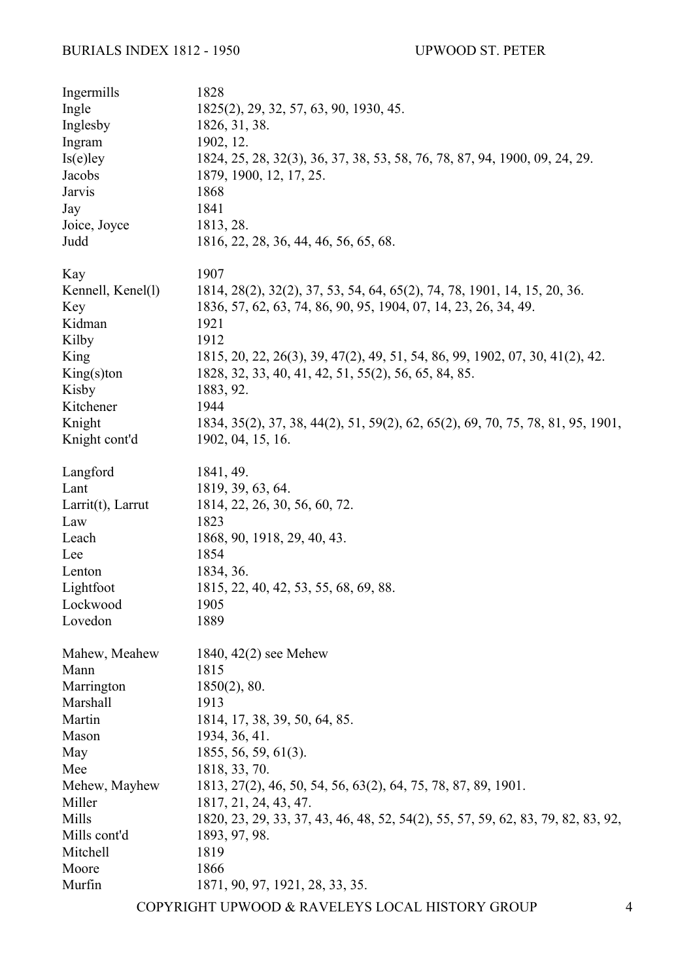| Ingermills        | 1828                                                                             |
|-------------------|----------------------------------------------------------------------------------|
| Ingle             | 1825(2), 29, 32, 57, 63, 90, 1930, 45.                                           |
| Inglesby          | 1826, 31, 38.                                                                    |
| Ingram            | 1902, 12.                                                                        |
| $Is(e)$ ley       | 1824, 25, 28, 32(3), 36, 37, 38, 53, 58, 76, 78, 87, 94, 1900, 09, 24, 29.       |
| Jacobs            | 1879, 1900, 12, 17, 25.                                                          |
| Jarvis            | 1868                                                                             |
| Jay               | 1841                                                                             |
| Joice, Joyce      | 1813, 28.                                                                        |
| Judd              | 1816, 22, 28, 36, 44, 46, 56, 65, 68.                                            |
| Kay               | 1907                                                                             |
| Kennell, Kenel(1) | 1814, 28(2), 32(2), 37, 53, 54, 64, 65(2), 74, 78, 1901, 14, 15, 20, 36.         |
| Key               | 1836, 57, 62, 63, 74, 86, 90, 95, 1904, 07, 14, 23, 26, 34, 49.                  |
| Kidman            | 1921                                                                             |
| Kilby             | 1912                                                                             |
| King              | 1815, 20, 22, 26(3), 39, 47(2), 49, 51, 54, 86, 99, 1902, 07, 30, 41(2), 42.     |
| $King(s)$ ton     | 1828, 32, 33, 40, 41, 42, 51, 55(2), 56, 65, 84, 85.                             |
| Kisby             | 1883, 92.                                                                        |
| Kitchener         | 1944                                                                             |
| Knight            | 1834, 35(2), 37, 38, 44(2), 51, 59(2), 62, 65(2), 69, 70, 75, 78, 81, 95, 1901,  |
| Knight cont'd     | 1902, 04, 15, 16.                                                                |
| Langford          | 1841, 49.                                                                        |
| Lant              | 1819, 39, 63, 64.                                                                |
| Larrit(t), Larrut | 1814, 22, 26, 30, 56, 60, 72.                                                    |
| Law               | 1823                                                                             |
| Leach             | 1868, 90, 1918, 29, 40, 43.                                                      |
| Lee               | 1854                                                                             |
| Lenton            | 1834, 36.                                                                        |
| Lightfoot         | 1815, 22, 40, 42, 53, 55, 68, 69, 88.                                            |
| Lockwood          | 1905                                                                             |
| Lovedon           | 1889                                                                             |
| Mahew, Meahew     | 1840, 42(2) see Mehew                                                            |
| Mann              | 1815                                                                             |
| Marrington        | $1850(2)$ , 80.                                                                  |
| Marshall          | 1913                                                                             |
| Martin            | 1814, 17, 38, 39, 50, 64, 85.                                                    |
| Mason             | 1934, 36, 41.                                                                    |
| May               | 1855, 56, 59, 61(3).                                                             |
| Mee               | 1818, 33, 70.                                                                    |
| Mehew, Mayhew     | 1813, 27(2), 46, 50, 54, 56, 63(2), 64, 75, 78, 87, 89, 1901.                    |
| Miller            | 1817, 21, 24, 43, 47.                                                            |
| Mills             | 1820, 23, 29, 33, 37, 43, 46, 48, 52, 54(2), 55, 57, 59, 62, 83, 79, 82, 83, 92, |
| Mills cont'd      | 1893, 97, 98.                                                                    |
| Mitchell          | 1819                                                                             |
| Moore             | 1866                                                                             |
| Murfin            | 1871, 90, 97, 1921, 28, 33, 35.                                                  |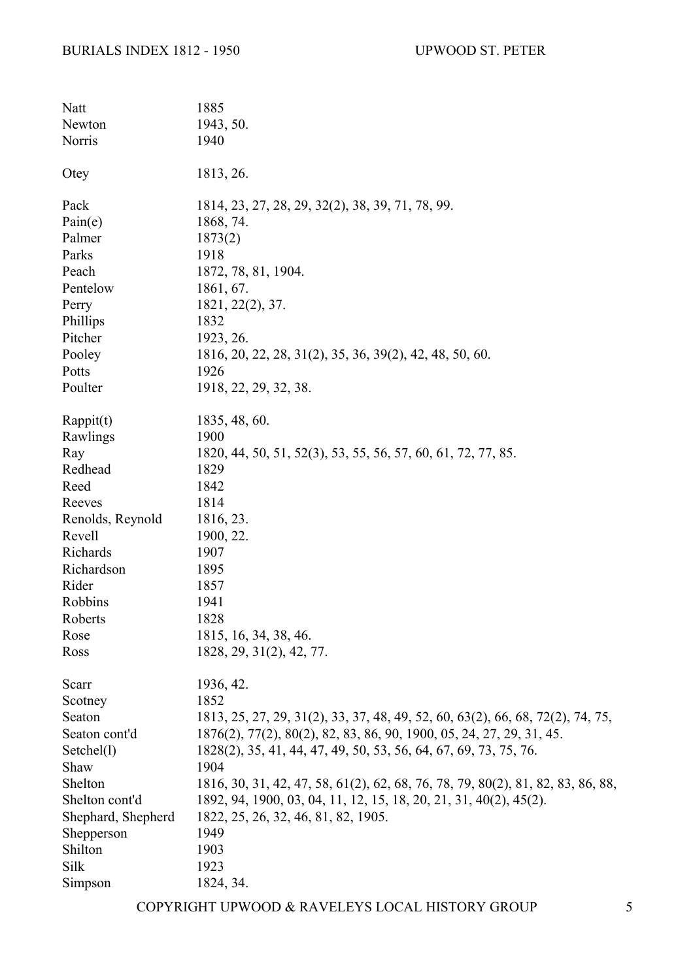| Natt               | 1885                                                                            |
|--------------------|---------------------------------------------------------------------------------|
| Newton             | 1943, 50.                                                                       |
| Norris             | 1940                                                                            |
|                    |                                                                                 |
| Otey               | 1813, 26.                                                                       |
| Pack               | 1814, 23, 27, 28, 29, 32(2), 38, 39, 71, 78, 99.                                |
| Pain(e)            | 1868, 74.                                                                       |
| Palmer             | 1873(2)                                                                         |
| Parks              | 1918                                                                            |
| Peach              | 1872, 78, 81, 1904.                                                             |
| Pentelow           | 1861, 67.                                                                       |
| Perry              | 1821, 22(2), 37.                                                                |
| Phillips           | 1832                                                                            |
| Pitcher            | 1923, 26.                                                                       |
| Pooley             | 1816, 20, 22, 28, 31(2), 35, 36, 39(2), 42, 48, 50, 60.                         |
| Potts              | 1926                                                                            |
| Poulter            | 1918, 22, 29, 32, 38.                                                           |
|                    |                                                                                 |
| Rappit(t)          | 1835, 48, 60.                                                                   |
| Rawlings           | 1900                                                                            |
| Ray                | 1820, 44, 50, 51, 52(3), 53, 55, 56, 57, 60, 61, 72, 77, 85.                    |
| Redhead            | 1829                                                                            |
| Reed               | 1842                                                                            |
| Reeves             | 1814                                                                            |
| Renolds, Reynold   | 1816, 23.                                                                       |
| Revell             | 1900, 22.                                                                       |
| Richards           | 1907                                                                            |
| Richardson         | 1895                                                                            |
| Rider              | 1857                                                                            |
| Robbins            | 1941                                                                            |
| Roberts            | 1828                                                                            |
| Rose               | 1815, 16, 34, 38, 46.                                                           |
| Ross               | 1828, 29, 31(2), 42, 77.                                                        |
|                    |                                                                                 |
| Scarr              | 1936, 42.                                                                       |
| Scotney            | 1852                                                                            |
| Seaton             | 1813, 25, 27, 29, 31(2), 33, 37, 48, 49, 52, 60, 63(2), 66, 68, 72(2), 74, 75,  |
| Seaton cont'd      | 1876(2), 77(2), 80(2), 82, 83, 86, 90, 1900, 05, 24, 27, 29, 31, 45.            |
| Setchel(1)         | 1828(2), 35, 41, 44, 47, 49, 50, 53, 56, 64, 67, 69, 73, 75, 76.                |
| Shaw               | 1904                                                                            |
| Shelton            | 1816, 30, 31, 42, 47, 58, 61(2), 62, 68, 76, 78, 79, 80(2), 81, 82, 83, 86, 88, |
| Shelton cont'd     | 1892, 94, 1900, 03, 04, 11, 12, 15, 18, 20, 21, 31, 40(2), 45(2).               |
| Shephard, Shepherd | 1822, 25, 26, 32, 46, 81, 82, 1905.                                             |
| Shepperson         | 1949                                                                            |
| Shilton            | 1903                                                                            |
| Silk               | 1923                                                                            |
| Simpson            | 1824, 34.                                                                       |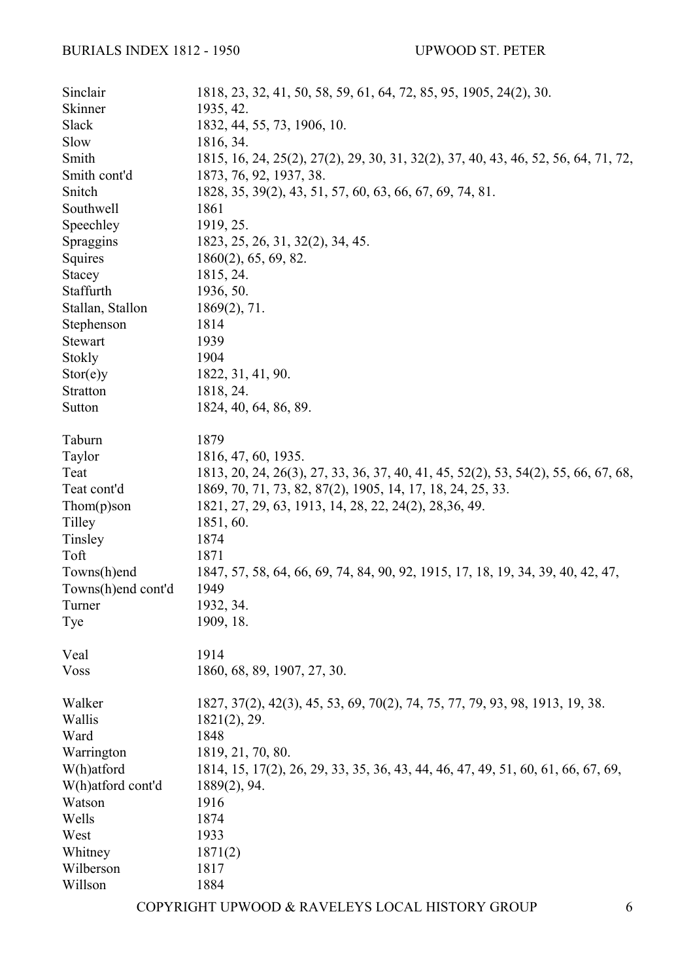| Sinclair           | 1818, 23, 32, 41, 50, 58, 59, 61, 64, 72, 85, 95, 1905, 24(2), 30.                 |
|--------------------|------------------------------------------------------------------------------------|
| Skinner            | 1935, 42.                                                                          |
| Slack              | 1832, 44, 55, 73, 1906, 10.                                                        |
| Slow               | 1816, 34.                                                                          |
| Smith              | 1815, 16, 24, 25(2), 27(2), 29, 30, 31, 32(2), 37, 40, 43, 46, 52, 56, 64, 71, 72, |
| Smith cont'd       | 1873, 76, 92, 1937, 38.                                                            |
| Snitch             | 1828, 35, 39(2), 43, 51, 57, 60, 63, 66, 67, 69, 74, 81.                           |
| Southwell          | 1861                                                                               |
| Speechley          | 1919, 25.                                                                          |
| Spraggins          | 1823, 25, 26, 31, 32(2), 34, 45.                                                   |
| Squires            | $1860(2)$ , 65, 69, 82.                                                            |
| Stacey             | 1815, 24.                                                                          |
| Staffurth          | 1936, 50.                                                                          |
| Stallan, Stallon   | $1869(2)$ , 71.                                                                    |
| Stephenson         | 1814                                                                               |
| Stewart            | 1939                                                                               |
| Stokly             | 1904                                                                               |
| Stor(e)y           | 1822, 31, 41, 90.                                                                  |
| Stratton           | 1818, 24.                                                                          |
| Sutton             | 1824, 40, 64, 86, 89.                                                              |
| Taburn             | 1879                                                                               |
| Taylor             | 1816, 47, 60, 1935.                                                                |
| Teat               | 1813, 20, 24, 26(3), 27, 33, 36, 37, 40, 41, 45, 52(2), 53, 54(2), 55, 66, 67, 68, |
| Teat cont'd        | 1869, 70, 71, 73, 82, 87(2), 1905, 14, 17, 18, 24, 25, 33.                         |
| $Thom(p)$ son      | 1821, 27, 29, 63, 1913, 14, 28, 22, 24(2), 28, 36, 49.                             |
| Tilley             | 1851, 60.                                                                          |
| Tinsley            | 1874                                                                               |
| Toft               | 1871                                                                               |
| Towns(h)end        | 1847, 57, 58, 64, 66, 69, 74, 84, 90, 92, 1915, 17, 18, 19, 34, 39, 40, 42, 47,    |
| Towns(h)end cont'd | 1949                                                                               |
| Turner             | 1932, 34.                                                                          |
| Tye                | 1909, 18.                                                                          |
| Veal               | 1914                                                                               |
| <b>Voss</b>        | 1860, 68, 89, 1907, 27, 30.                                                        |
| Walker             | 1827, 37(2), 42(3), 45, 53, 69, 70(2), 74, 75, 77, 79, 93, 98, 1913, 19, 38.       |
| Wallis             | $1821(2)$ , 29.                                                                    |
| Ward               | 1848                                                                               |
| Warrington         | 1819, 21, 70, 80.                                                                  |
| W(h)atford         | 1814, 15, 17(2), 26, 29, 33, 35, 36, 43, 44, 46, 47, 49, 51, 60, 61, 66, 67, 69,   |
| W(h)atford cont'd  | $1889(2)$ , 94.                                                                    |
| Watson             | 1916                                                                               |
| Wells              | 1874                                                                               |
| West               | 1933                                                                               |
| Whitney            | 1871(2)                                                                            |
| Wilberson          | 1817                                                                               |
| Willson            | 1884                                                                               |